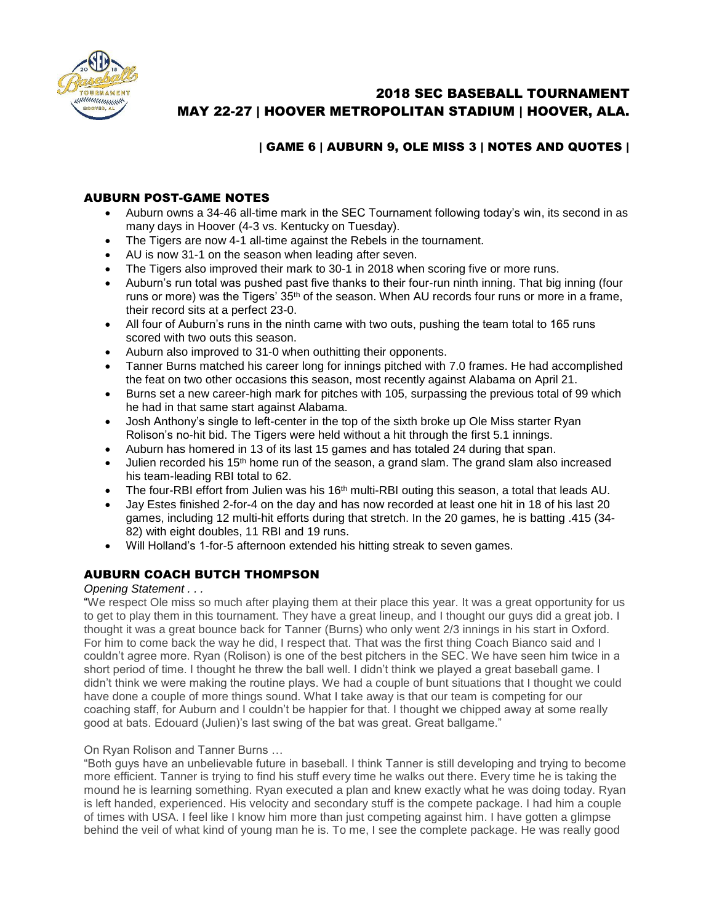

# 2018 SEC BASEBALL TOURNAMENT MAY 22-27 | HOOVER METROPOLITAN STADIUM | HOOVER, ALA.

## | GAME 6 | AUBURN 9, OLE MISS 3 | NOTES AND QUOTES |

## AUBURN POST-GAME NOTES

- Auburn owns a 34-46 all-time mark in the SEC Tournament following today's win, its second in as many days in Hoover (4-3 vs. Kentucky on Tuesday).
- The Tigers are now 4-1 all-time against the Rebels in the tournament.
- AU is now 31-1 on the season when leading after seven.
- The Tigers also improved their mark to 30-1 in 2018 when scoring five or more runs.
- Auburn's run total was pushed past five thanks to their four-run ninth inning. That big inning (four runs or more) was the Tigers' 35<sup>th</sup> of the season. When AU records four runs or more in a frame, their record sits at a perfect 23-0.
- All four of Auburn's runs in the ninth came with two outs, pushing the team total to 165 runs scored with two outs this season.
- Auburn also improved to 31-0 when outhitting their opponents.
- Tanner Burns matched his career long for innings pitched with 7.0 frames. He had accomplished the feat on two other occasions this season, most recently against Alabama on April 21.
- Burns set a new career-high mark for pitches with 105, surpassing the previous total of 99 which he had in that same start against Alabama.
- Josh Anthony's single to left-center in the top of the sixth broke up Ole Miss starter Ryan Rolison's no-hit bid. The Tigers were held without a hit through the first 5.1 innings.
- Auburn has homered in 13 of its last 15 games and has totaled 24 during that span.
- Julien recorded his 15<sup>th</sup> home run of the season, a grand slam. The grand slam also increased his team-leading RBI total to 62.
- $\bullet$  The four-RBI effort from Julien was his 16<sup>th</sup> multi-RBI outing this season, a total that leads AU.
- Jay Estes finished 2-for-4 on the day and has now recorded at least one hit in 18 of his last 20 games, including 12 multi-hit efforts during that stretch. In the 20 games, he is batting .415 (34- 82) with eight doubles, 11 RBI and 19 runs.
- Will Holland's 1-for-5 afternoon extended his hitting streak to seven games.

## AUBURN COACH BUTCH THOMPSON

## *Opening Statement . . .*

"We respect Ole miss so much after playing them at their place this year. It was a great opportunity for us to get to play them in this tournament. They have a great lineup, and I thought our guys did a great job. I thought it was a great bounce back for Tanner (Burns) who only went 2/3 innings in his start in Oxford. For him to come back the way he did, I respect that. That was the first thing Coach Bianco said and I couldn't agree more. Ryan (Rolison) is one of the best pitchers in the SEC. We have seen him twice in a short period of time. I thought he threw the ball well. I didn't think we played a great baseball game. I didn't think we were making the routine plays. We had a couple of bunt situations that I thought we could have done a couple of more things sound. What I take away is that our team is competing for our coaching staff, for Auburn and I couldn't be happier for that. I thought we chipped away at some really good at bats. Edouard (Julien)'s last swing of the bat was great. Great ballgame."

## On Ryan Rolison and Tanner Burns …

"Both guys have an unbelievable future in baseball. I think Tanner is still developing and trying to become more efficient. Tanner is trying to find his stuff every time he walks out there. Every time he is taking the mound he is learning something. Ryan executed a plan and knew exactly what he was doing today. Ryan is left handed, experienced. His velocity and secondary stuff is the compete package. I had him a couple of times with USA. I feel like I know him more than just competing against him. I have gotten a glimpse behind the veil of what kind of young man he is. To me, I see the complete package. He was really good